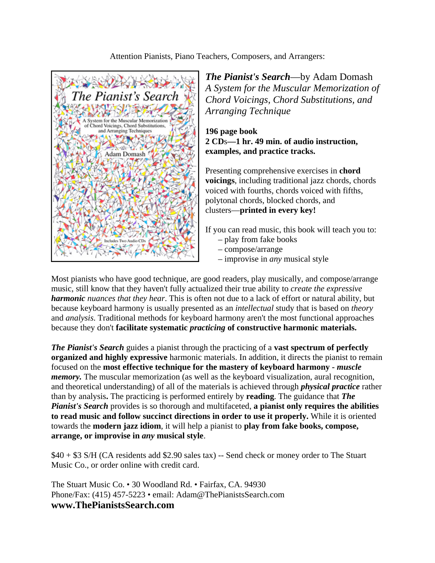#### Attention Pianists, Piano Teachers, Composers, and Arrangers:



*The Pianist's Search*—by Adam Domash *A System for the Muscular Memorization of Chord Voicings, Chord Substitutions, and Arranging Technique*

### **196 page book 2 CD**s**—1 hr. 49 min. of audio instruction, examples, and practice tracks.**

Presenting comprehensive exercises in **chord voicings**, including traditional jazz chords, chords voiced with fourths, chords voiced with fifths, polytonal chords, blocked chords, and clusters—**printed in every key!**

If you can read music, this book will teach you to:

- play from fake books
- compose/arrange
- improvise in *any* musical style

Most pianists who have good technique, are good readers, play musically, and compose/arrange music, still know that they haven't fully actualized their true ability to *create the expressive harmonic nuances that they hear*. This is often not due to a lack of effort or natural ability, but because keyboard harmony is usually presented as an *intellectual* study that is based on *theory* and *analysis*. Traditional methods for keyboard harmony aren't the most functional approaches because they don't **facilitate systematic** *practicing* **of constructive harmonic materials.**

*The Pianist's Search* guides a pianist through the practicing of a **vast spectrum of perfectly organized and highly expressive** harmonic materials. In addition, it directs the pianist to remain focused on the **most effective technique for the mastery of keyboard harmony -** *muscle memory.* The muscular memorization (as well as the keyboard visualization, aural recognition, and theoretical understanding) of all of the materials is achieved through *physical practice* rather than by analysis**.** The practicing is performed entirely by **reading**. The guidance that *The Pianist's Search* provides is so thorough and multifaceted, **a pianist only requires the abilities to read music and follow succinct directions in order to use it properly.** While it is oriented towards the **modern jazz idiom**, it will help a pianist to **play from fake books, compose, arrange, or improvise in** *any* **musical style**.

\$40 + \$3 S/H (CA residents add \$2.90 sales tax) -- Send check or money order to The Stuart Music Co., or order online with credit card.

The Stuart Music Co. • 30 Woodland Rd. • Fairfax, CA. 94930 Phone/Fax: (415) 457-5223 • email: Adam@ThePianistsSearch.com **www.ThePianistsSearch.com**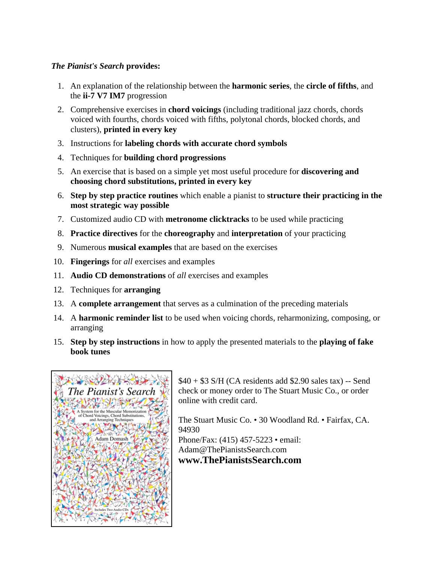# *The Pianist's Search* **provides:**

- 1. An explanation of the relationship between the **harmonic series**, the **circle of fifths**, and the **ii-7 V7 IM7** progression
- 2. Comprehensive exercises in **chord voicings** (including traditional jazz chords, chords voiced with fourths, chords voiced with fifths, polytonal chords, blocked chords, and clusters), **printed in every key**
- 3. Instructions for **labeling chords with accurate chord symbols**
- 4. Techniques for **building chord progressions**
- 5. An exercise that is based on a simple yet most useful procedure for **discovering and choosing chord substitutions, printed in every key**
- 6. **Step by step practice routines** which enable a pianist to **structure their practicing in the most strategic way possible**
- 7. Customized audio CD with **metronome clicktracks** to be used while practicing
- 8. **Practice directives** for the **choreography** and **interpretation** of your practicing
- 9. Numerous **musical examples** that are based on the exercises
- 10. **Fingerings** for *all* exercises and examples
- 11. **Audio CD demonstrations** of *all* exercises and examples
- 12. Techniques for **arranging**
- 13. A **complete arrangement** that serves as a culmination of the preceding materials
- 14. A **harmonic reminder list** to be used when voicing chords, reharmonizing, composing, or arranging
- 15. **Step by step instructions** in how to apply the presented materials to the **playing of fake book tunes**



 $$40 + $3$  S/H (CA residents add \$2.90 sales tax) -- Send check or money order to The Stuart Music Co., or order online with credit card.

The Stuart Music Co. • 30 Woodland Rd. • Fairfax, CA. 94930 Phone/Fax: (415) 457-5223 • email: Adam@ThePianistsSearch.com **www.ThePianistsSearch.com**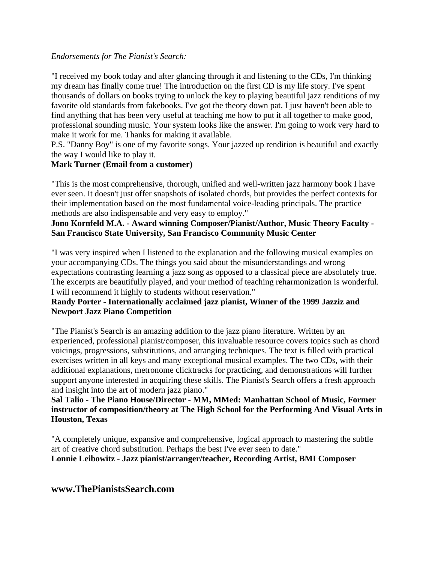#### *Endorsements for The Pianist's Search:*

"I received my book today and after glancing through it and listening to the CDs, I'm thinking my dream has finally come true! The introduction on the first CD is my life story. I've spent thousands of dollars on books trying to unlock the key to playing beautiful jazz renditions of my favorite old standards from fakebooks. I've got the theory down pat. I just haven't been able to find anything that has been very useful at teaching me how to put it all together to make good, professional sounding music. Your system looks like the answer. I'm going to work very hard to make it work for me. Thanks for making it available.

P.S. "Danny Boy" is one of my favorite songs. Your jazzed up rendition is beautiful and exactly the way I would like to play it.

# **Mark Turner (Email from a customer)**

"This is the most comprehensive, thorough, unified and well-written jazz harmony book I have ever seen. It doesn't just offer snapshots of isolated chords, but provides the perfect contexts for their implementation based on the most fundamental voice-leading principals. The practice methods are also indispensable and very easy to employ."

# **Jono Kornfeld M.A. - Award winning Composer/Pianist/Author, Music Theory Faculty - San Francisco State University, San Francisco Community Music Center**

"I was very inspired when I listened to the explanation and the following musical examples on your accompanying CDs. The things you said about the misunderstandings and wrong expectations contrasting learning a jazz song as opposed to a classical piece are absolutely true. The excerpts are beautifully played, and your method of teaching reharmonization is wonderful. I will recommend it highly to students without reservation."

### **Randy Porter - Internationally acclaimed jazz pianist, Winner of the 1999 Jazziz and Newport Jazz Piano Competition**

"The Pianist's Search is an amazing addition to the jazz piano literature. Written by an experienced, professional pianist/composer, this invaluable resource covers topics such as chord voicings, progressions, substitutions, and arranging techniques. The text is filled with practical exercises written in all keys and many exceptional musical examples. The two CDs, with their additional explanations, metronome clicktracks for practicing, and demonstrations will further support anyone interested in acquiring these skills. The Pianist's Search offers a fresh approach and insight into the art of modern jazz piano."

# **Sal Talio - The Piano House/Director - MM, MMed: Manhattan School of Music, Former instructor of composition/theory at The High School for the Performing And Visual Arts in Houston, Texas**

"A completely unique, expansive and comprehensive, logical approach to mastering the subtle art of creative chord substitution. Perhaps the best I've ever seen to date." **Lonnie Leibowitz - Jazz pianist/arranger/teacher, Recording Artist, BMI Composer**

**www.ThePianistsSearch.com**